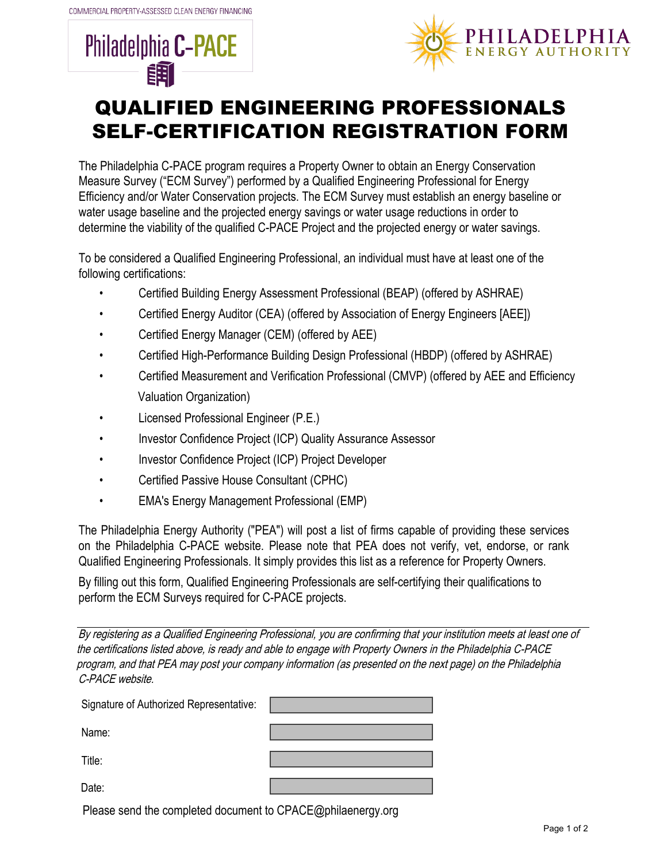



## QUALIFIED ENGINEERING PROFESSIONALS SELF-CERTIFICATION REGISTRATION FORM

The Philadelphia C-PACE program requires a Property Owner to obtain an Energy Conservation Measure Survey ("ECM Survey") performed by a Qualified Engineering Professional for Energy Efficiency and/or Water Conservation projects. The ECM Survey must establish an energy baseline or water usage baseline and the projected energy savings or water usage reductions in order to determine the viability of the qualified C-PACE Project and the projected energy or water savings.

To be considered a Qualified Engineering Professional, an individual must have at least one of the following certifications:

- Certified Building Energy Assessment Professional (BEAP) (offered by ASHRAE)
- Certified Energy Auditor (CEA) (offered by Association of Energy Engineers [AEE])
- Certified Energy Manager (CEM) (offered by AEE)
- Certified High-Performance Building Design Professional (HBDP) (offered by ASHRAE)
- Certified Measurement and Verification Professional (CMVP) (offered by AEE and Efficiency Valuation Organization)
- Licensed Professional Engineer (P.E.)
- Investor Confidence Project (ICP) Quality Assurance Assessor
- Investor Confidence Project (ICP) Project Developer
- Certified Passive House Consultant (CPHC)
- EMA's Energy Management Professional (EMP)

The Philadelphia Energy Authority ("PEA") will post a list of firms capable of providing these services on the Philadelphia C-PACE website. Please note that PEA does not verify, vet, endorse, or rank Qualified Engineering Professionals. It simply provides this list as a reference for Property Owners.

By filling out this form, Qualified Engineering Professionals are self-certifying their qualifications to perform the ECM Surveys required for C-PACE projects.

By registering as <sup>a</sup> Qualified Engineering Professional, you are confirming that your institution meets at least one of the certifications listed above, is ready and able to engage with Property Owners in the Philadelphia C-PACE program, and that PEA may post your company information (as presented on the next page) on the Philadelphia C-PACE website.

| Signature of Authorized Representative: |  |
|-----------------------------------------|--|
| Name:                                   |  |
| Title:                                  |  |
| Date:                                   |  |

Please send the completed document to CPACE@philaenergy.org